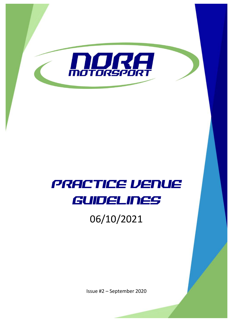

# PRACTICE VENUE GUIDELINES

## 06/10/2021

Issue #2 – September 2020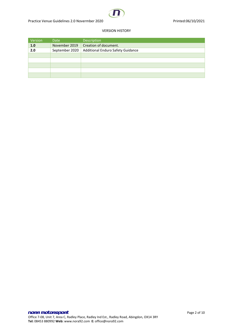

#### VERSION HISTORY

| Version | Date           | <b>Description</b>                |
|---------|----------------|-----------------------------------|
| 1.0     | November 2019  | Creation of document.             |
| 2.0     | September 2020 | Additional Enduro Safety Guidance |
|         |                |                                   |
|         |                |                                   |
|         |                |                                   |
|         |                |                                   |
|         |                |                                   |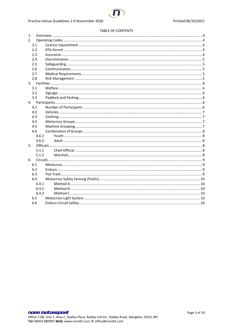#### **TABLE OF CONTENTS**

| 1.    |  |  |  |
|-------|--|--|--|
| 2.    |  |  |  |
| 2.1   |  |  |  |
| 2.2   |  |  |  |
| 2.3   |  |  |  |
| 2.4   |  |  |  |
| 2.5   |  |  |  |
| 2.6   |  |  |  |
| 2.7   |  |  |  |
| 2.8   |  |  |  |
|       |  |  |  |
| 3.1   |  |  |  |
| 3.2   |  |  |  |
| 3.3   |  |  |  |
| 4.    |  |  |  |
| 4.1   |  |  |  |
| 4.2   |  |  |  |
| 4.3   |  |  |  |
| 4.4   |  |  |  |
| 4.5   |  |  |  |
| 4.6   |  |  |  |
| 4.6.1 |  |  |  |
| 4.6.2 |  |  |  |
| 5.    |  |  |  |
| 5.1.1 |  |  |  |
| 5.1.2 |  |  |  |
| 6.    |  |  |  |
| 6.1   |  |  |  |
| 6.2   |  |  |  |
| 6.3   |  |  |  |
| 6.4   |  |  |  |
| 6.4.1 |  |  |  |
| 6.4.2 |  |  |  |
| 6.4.3 |  |  |  |
| 6.5   |  |  |  |
| 6.6   |  |  |  |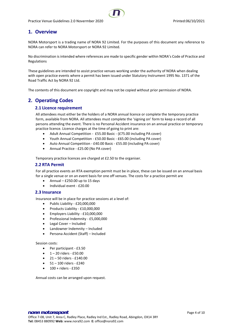## <span id="page-3-0"></span>**1. Overview**

NORA Motorsport is a trading name of NORA 92 Limited. For the purposes of this document any reference to NORA can refer to NORA Motorsport or NORA 92 Limited.

No discrimination is intended where references are made to specific gender within NORA's Code of Practice and Regulations

These guidelines are intended to assist practice venues working under the authority of NORA when dealing with open practice events where a permit has been issued under Statutory Instrument 1995 No. 1371 of the Road Traffic Act by NORA 92 Ltd.

<span id="page-3-1"></span>The contents of this document are copyright and may not be copied without prior permission of NORA.

## <span id="page-3-2"></span>**2. Operating Codes**

## **2.1 Licence requirement**

All attendees must either be the holders of a NORA annual licence or complete the temporary practice form, available from NORA. All attendees must complete the 'signing on' form to keep a record of all persons attending the event. There is no Personal Accident insurance on an annual practice or temporary practice licence. Licence charges at the time of going to print are:

- Adult Annual Competition £55.00 Basic (£75.00 including PA cover)
- Youth Annual Competition £50.00 Basic £65.00 (including PA cover)
- Auto Annual Competition £40.00 Basic £55.00 (including PA cover)
- Annual Practice £25.00 (No PA cover)

Temporary practice licences are charged at £2.50 to the organiser.

### <span id="page-3-3"></span>**2.2 RTA Permit**

For all practice events an RTA exemption permit must be in place, these can be issued on an annual basis for a single venue or on an event basis for one off venues. The costs for a practice permit are

- Annual £250.00 up to 15 days
- Individual event £20.00

## <span id="page-3-4"></span>**2.3 Insurance**

Insurance will be in place for practice sessions at a level of:

- Public Liability £20,000,000
- Products Liability £10,000,000
- Employers Liability £10,000,000
- Professional Indemnity £5,000,000
- Legal Cover Included
- Landowner Indemnity Included
- Persona Accident (Staff) Included

#### Session costs:

- Per participant £3.50
- 1 20 riders £50.00
- 21 50 riders £140.00
- 51 100 riders £240
- 100 + riders £350

Annual costs can be arranged upon request.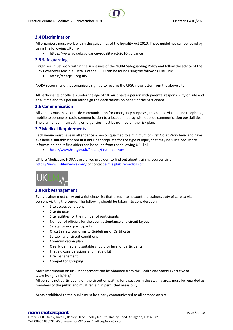

## <span id="page-4-0"></span>**2.4 Discrimination**

All organisers must work within the guidelines of the Equality Act 2010. These guidelines can be found by using the following URL link:

• https://www.gov.uk/guidance/equality-act-2010-guidance

## <span id="page-4-1"></span>**2.5 Safeguarding**

Organisers must work within the guidelines of the NORA Safeguarding Policy and follow the advice of the CPSU wherever feasible. Details of the CPSU can be found using the following URL link:

• https://thecpsu.org.uk/

NORA recommend that organisers sign up to receive the CPSU newsletter from the above site.

All participants or officials under the age of 18 must have a person with parental responsibility on site and at all time and this person must sign the declarations on behalf of the participant.

## <span id="page-4-2"></span>**2.6 Communication**

All venues must have outside communication for emergency purposes, this can be via landline telephone, mobile telephone or radio communication to a location nearby with outside communication possibilities. The plan for communicating emergencies must be notified on the risk plan.

## <span id="page-4-3"></span>**2.7 Medical Requirements**

Each venue must have in attendance a person qualified to a minimum of First Aid at Work level and have available a suitably stocked first aid kit appropriate for the type of injury that may be sustained. More information about first-aiders can be found from the following URL link:

• <http://www.hse.gov.uk/firstaid/first-aider.htm>

UK Life Medics are NORA's preferred provider, to find out about training courses visit <https://www.uklifemedics.com/> or contact [aimie@uklifemedics.com](mailto:aimie@uklifemedics.com)



## <span id="page-4-4"></span>**2.8 Risk Management**

Every trainer must carry out a risk check list that takes into account the trainers duty of care to ALL persons visiting the venue. The following should be taken into consideration.

- Site access conditions
- Site signage
- Site facilities for the number of participants
- Number of officials for the event attendance and circuit layout
- Safety for non participants
- Circuit safety conforms to Guidelines or Certificate
- Suitability of circuit conditions
- Communication plan
- Clearly defined and suitable circuit for level of participants
- First aid considerations and first aid kit
- Fire management
- Competitor grouping

More information on Risk Management can be obtained from the Health and Safety Executive at: www.hse.gov.uk/risk/

All persons not participating on the circuit or waiting for a session in the staging area, must be regarded as members of the public and must remain in permitted areas only

Areas prohibited to the public must be clearly communicated to all persons on site.

#### nora motorsport experience of the page 5 of 10 Office 7-08, Unit 7, Area C, Radley Place, Radley Ind Est., Radley Road, Abingdon, OX14 3RY **Tel:** 08453 880992 **Web:** www.nora92.com **E:** office@nora92.com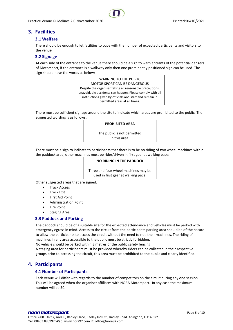## <span id="page-5-1"></span><span id="page-5-0"></span>**3. Facilities**

## **3.1 Welfare**

There should be enough toilet facilities to cope with the number of expected participants and visitors to the venue

## <span id="page-5-2"></span>**3.2 Signage**

At each side of the entrance to the venue there should be a sign to warn entrants of the potential dangers of Motorsport, if the entrance is a walkway only then one prominently positioned sign can be used. The sign should have the words as below:

> WARNING TO THE PUBLIC MOTOR SPORT CAN BE DANGEROUS Despite the organiser taking all reasonable precautions, unavoidable accidents can happen. Please comply with all instructions given by officials and staff and remain in permitted areas at all times.

There must be sufficient signage around the site to indicate which areas are prohibited to the public. The suggested wording is as follows:

#### **PROHIBITED AREA**

The public is not permitted in this area.

There must be a sign to indicate to participants that there is to be no riding of two wheel machines within the paddock area, other machines must be rider/driven in first gear at walking pace:

## **NO RIDING IN THE PADDOCK**

Three and four wheel machines may be used in first gear at walking pace.

Other suggested areas that are signed:

- Track Access
- Track Exit
- First Aid Point
- Administration Point
- **Fire Point**
- **Staging Area**

## <span id="page-5-3"></span>**3.3 Paddock and Parking**

The paddock should be of a suitable size for the expected attendance and vehicles must be parked with emergency egress in mind. Access to the circuit from the participants parking area should be of the nature to allow the participants to access the circuit without the need to ride their machines. The riding of machines in any area accessible to the public must be strictly forbidden.

No vehicle should be parked within 3 metres of the public safety fencing.

A staging area for participants must be provided whereby riders can be collected in their respective groups prior to accessing the circuit, this area must be prohibited to the public and clearly identified.

## <span id="page-5-5"></span><span id="page-5-4"></span>**4. Participants**

## **4.1 Number of Participants**

Each venue will differ with regards to the number of competitors on the circuit during any one session. This will be agreed when the organiser affiliates with NORA Motorsport. In any case the maximum number will be 50.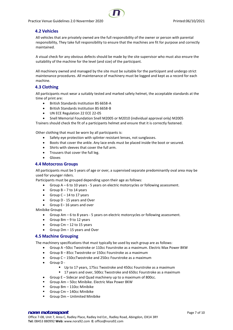

## <span id="page-6-0"></span>**4.2 Vehicles**

All vehicles that are privately owned are the full responsibility of the owner or person with parental responsibility, They take full responsibility to ensure that the machines are fit for purpose and correctly maintained.

A visual check for any obvious defects should be made by the site supervisor who must also ensure the suitability of the machine for the level (and size) of the participant.

All machinery owned and managed by the site must be suitable for the participant and undergo strict maintenance procedures. All maintenance of machinery must be logged and kept as a record for each machine.

## <span id="page-6-1"></span>**4.3 Clothing**

All participants must wear a suitably tested and marked safety helmet, the acceptable standards at the time of print are:

- British Standards Institution BS 6658-A
- British Standards Institution BS 6658-B
- UN ECE Regulation 22 ECE 22-05
- Snell Memorial Foundation Snell M2005 or M2010 (individual approval only) M2005

Trainers should check the fit of a participants helmet and ensure that it is correctly fastened.

Other clothing that must be worn by all participants is:

- Safety eye protection with splinter resistant lenses, not sunglasses.
- Boots that cover the ankle. Any lace ends must be placed inside the boot or secured.
- Shirts with sleeves that cover the full arm.
- Trousers that cover the full leg.
- Gloves

## <span id="page-6-2"></span>**4.4 Motocross Groups**

All participants must be 5 years of age or over, a supervised separate predominantly oval area may be used for younger riders.

Participants must be grouped depending upon their age as follows:

- Group A 6 to 10 years 5 years on electric motorcycles or following assessment.
- Group  $B 7$  to 14 years
- Group  $C 14$  to 17 years
- Group D 15 years and Over
- Group E– 16 years and over

Minibike Groups

- Group Am 6 to 8 years 5 years on electric motorcycles or following assessment.
- Group  $Bm 9$  to 12 years
- Group  $Cm 12$  to 15 years
- Group Dm 15 years and Over

## <span id="page-6-3"></span>**4.5 Machine Grouping**

The machinery specifications that must typically be used by each group are as follows:

- Group A –50cc Twostroke or 110cc Fourstroke as a maximum. Electric Max Power 8KW
- Group B 85cc Twostroke or 150cc Fourstroke as a maximum
- Group C 150ccTwostroke and 250cc Fourstroke as a maximum
- Group D
	- Up to 17 years, 175cc Twostroke and 450cc Fourstroke as a maximum
	- 17 years and over, 500cc Twostroke and 650cc Fourstroke as a maximum
- Group E Sidecar and Quad machinery up to a maximum of 800cc.
- Group Am 50cc Minibike. Electric Max Power 8KW
- Group Bm 110cc Minibike
- Group Cm 140cc Minibike
- Group Dm Unlimited Minibike

### nora motorsport experience of the page 7 of 10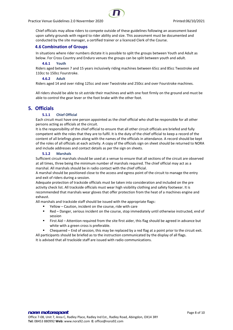

Chief officials may allow riders to compete outside of these guidelines following an assessment based upon safety grounds with regard to rider ability and size. This assessment must be documented and conducted by the site manager, a certified trainer or a licenced Clerk of the Course.

## <span id="page-7-0"></span>**4.6 Combination of Groups**

In situations where rider numbers dictate it is possible to split the groups between Youth and Adult as below. For Cross Country and Enduro venues the groups can be split between youth and adult.

#### **4.6.1 Youth**

<span id="page-7-1"></span>Riders aged between 7 and 15 years inclusively riding machines between 65cc and 85cc Twostroke and 110cc to 150cc Fourstroke.

#### **4.6.2 Adult**

<span id="page-7-2"></span>Riders aged 14 and over riding 125cc and over Twostroke and 250cc and over Fourstroke machines.

All riders should be able to sit astride their machines and with one foot firmly on the ground and must be able to control the gear lever or the foot brake with the other foot.

## <span id="page-7-4"></span><span id="page-7-3"></span>**5. Officials**

## **5.1.1 Chief Official**

Each circuit must have one person appointed as the chief official who shall be responsible for all other persons acting as officials at the circuit.

It is the responsibility of the chief official to ensure that all other circuit officials are briefed and fully competent with the roles that they are to fulfil. It is the duty of the chief official to keep a record of the content of all briefings given along with the names of the officials in attendance. A record should be kept of the roles of all officials at each activity. A copy of the officials sign on sheet should be returned to NORA and include addresses and contact details as per the sign on sheets.

#### **5.1.2 Marshals**

<span id="page-7-5"></span>Sufficient circuit marshals should be used at a venue to ensure that all sections of the circuit are observed at all times, three being the minimum number of marshals required. The chief official may act as a marshal. All marshals should be in radio contact with the chief official.

A marshal should be positioned close to the access and egress point of the circuit to manage the entry and exit of riders during a session.

Adequate protection of trackside officials must be taken into consideration and included on the pre activity check list. All trackside officials must wear high visibility clothing and safety footwear. It is recommended that marshals wear gloves that offer protection from the heat of a machines engine and exhaust.

All marshals and trackside staff should be issued with the appropriate flags:

- Yellow Caution, incident on the course, ride with care
- Red Danger, serious incident on the course, stop immediately until otherwise instructed, end of session
- First Aid Attention required from the site first aider, this flag should be agreed in advance but white with a green cross is preferable.
- Chequered End of session, this may be replaced by a red flag at a point prior to the circuit exit.

All participants should be briefed as to the instruction communicated by the display of all flags. It is advised that all trackside staff are issued with radio communications.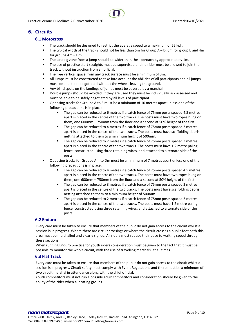## <span id="page-8-1"></span><span id="page-8-0"></span>**6. Circuits**

## **6.1 Motocross**

- The track should be designed to restrict the average speed to a maximum of 65 kph.
- The typical width of the track should not be less than 5m for Group  $A D$ , 6m for group E and 4m for groups Am – Dm.
- The landing zone from a jump should be wider than the approach by approximately 1m.
- The use of practice start straights must be supervised and no rider must be allowed to join the track without instruction from an official.
- The free vertical space from any track surface must be a minimum of 3m.
- All jumps must be constructed to take into account the abilities of all participants and all jumps must be able to be negotiated without the wheels leaving the ground.
- Any blind spots on the landings of jumps must be covered by a marshal.
- Double jumps should be avoided, if they are used they must be individually risk assessed and must be able to be safely negotiated by all levels of participant.
- Opposing tracks for Groups A to E must be a minimum of 10 metres apart unless one of the following precautions is in place:
	- The gap can be reduced to 6 metres if a catch fence of 75mm posts spaced 4.5 metres apart is placed in the centre of the two tracks. The posts must have two ropes hung on them, one 600mm – 750mm from the floor and a second at 50% height of the first.
	- The gap can be reduced to 4 metres if a catch fence of 75mm posts spaced 3 metres apart is placed in the centre of the two tracks. The posts must have scaffolding debris netting attached to them to a minimum height of 500mm.
	- The gap can be reduced to 2 metres if a catch fence of 75mm posts spaced 3 metres apart is placed in the centre of the two tracks. The posts must have 1.2 metre paling fence, constructed using three retaining wires, and attached to alternate side of the posts.
- Opposing tracks for Groups Am to Dm must be a minimum of 7 metres apart unless one of the following precautions is in place:
	- The gap can be reduced to 4 metres if a catch fence of 75mm posts spaced 4.5 metres apart is placed in the centre of the two tracks. The posts must have two ropes hung on them, one 600mm – 750mm from the floor and a second at 50% height of the first.
	- The gap can be reduced to 3 metres if a catch fence of 75mm posts spaced 3 metres apart is placed in the centre of the two tracks. The posts must have scaffolding debris netting attached to them to a minimum height of 500mm.
	- The gap can be reduced to 2 metres if a catch fence of 75mm posts spaced 3 metres apart is placed in the centre of the two tracks. The posts must have 1.2 metre paling fence, constructed using three retaining wires, and attached to alternate side of the posts.

## <span id="page-8-2"></span>**6.2 Enduro**

Every care must be taken to ensure that members of the public do not gain access to the circuit whilst a session is in progress. Where there are circuit crossings or where the circuit crosses a public foot path this area must be marshalled and clearly signed. All riders must reduce their pace to walking speed through these sections.

When running Enduro practice for youth riders consideration must be given to the fact that it must be possible to monitor the whole circuit, with the use of travelling marshals, at all times.

## <span id="page-8-3"></span>**6.3 Flat Track**

Every care must be taken to ensure that members of the public do not gain access to the circuit whilst a session is in progress. Circuit safety must comply with Event Regulations and there must be a minimum of two circuit marshal in attendance along with the chief official.

Youth competitors must not run alongside adult competitors and consideration should be given to the ability of the rider when allocating groups.